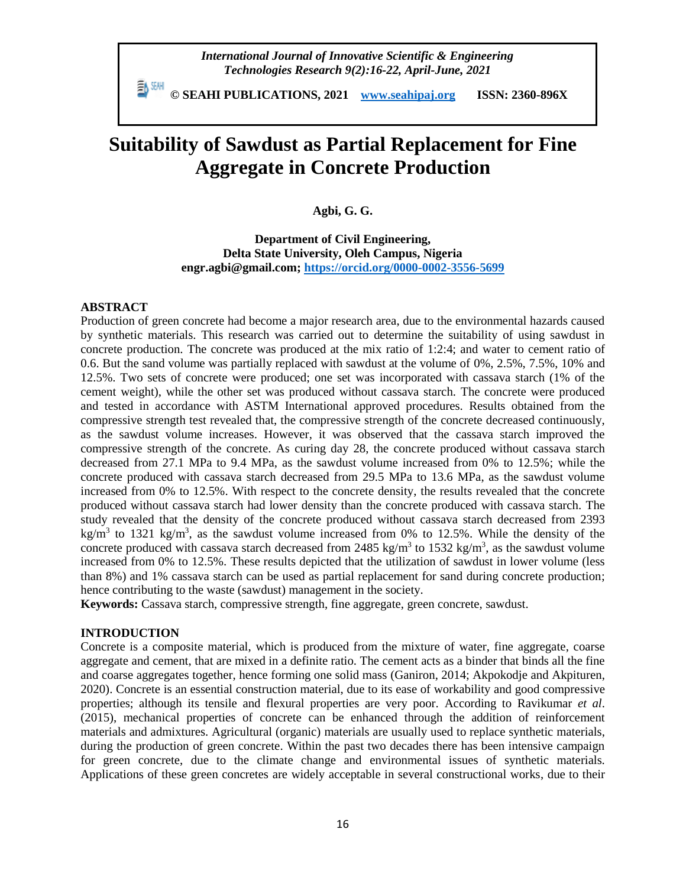*International Journal of Innovative Scientific & Engineering Technologies Research 9(2):16-22, April-June, 2021*

 **© SEAHI PUBLICATIONS, 2021 [www.seahipaj.org](http://www.seahipaj.org/) ISSN: 2360-896X**

# **Suitability of Sawdust as Partial Replacement for Fine Aggregate in Concrete Production**

**Agbi, G. G.**

**Department of Civil Engineering, Delta State University, Oleh Campus, Nigeria engr.agbi@gmail.com;<https://orcid.org/0000-0002-3556-5699>**

## **ABSTRACT**

Production of green concrete had become a major research area, due to the environmental hazards caused by synthetic materials. This research was carried out to determine the suitability of using sawdust in concrete production. The concrete was produced at the mix ratio of 1:2:4; and water to cement ratio of 0.6. But the sand volume was partially replaced with sawdust at the volume of 0%, 2.5%, 7.5%, 10% and 12.5%. Two sets of concrete were produced; one set was incorporated with cassava starch (1% of the cement weight), while the other set was produced without cassava starch. The concrete were produced and tested in accordance with ASTM International approved procedures. Results obtained from the compressive strength test revealed that, the compressive strength of the concrete decreased continuously, as the sawdust volume increases. However, it was observed that the cassava starch improved the compressive strength of the concrete. As curing day 28, the concrete produced without cassava starch decreased from 27.1 MPa to 9.4 MPa, as the sawdust volume increased from 0% to 12.5%; while the concrete produced with cassava starch decreased from 29.5 MPa to 13.6 MPa, as the sawdust volume increased from 0% to 12.5%. With respect to the concrete density, the results revealed that the concrete produced without cassava starch had lower density than the concrete produced with cassava starch. The study revealed that the density of the concrete produced without cassava starch decreased from 2393 kg/m<sup>3</sup> to 1321 kg/m<sup>3</sup>, as the sawdust volume increased from 0% to 12.5%. While the density of the concrete produced with cassava starch decreased from 2485 kg/m<sup>3</sup> to 1532 kg/m<sup>3</sup>, as the sawdust volume increased from 0% to 12.5%. These results depicted that the utilization of sawdust in lower volume (less than 8%) and 1% cassava starch can be used as partial replacement for sand during concrete production; hence contributing to the waste (sawdust) management in the society.

**Keywords:** Cassava starch, compressive strength, fine aggregate, green concrete, sawdust.

# **INTRODUCTION**

Concrete is a composite material, which is produced from the mixture of water, fine aggregate, coarse aggregate and cement, that are mixed in a definite ratio. The cement acts as a binder that binds all the fine and coarse aggregates together, hence forming one solid mass (Ganiron, 2014; Akpokodje and Akpituren, 2020). Concrete is an essential construction material, due to its ease of workability and good compressive properties; although its tensile and flexural properties are very poor. According to Ravikumar *et al*. (2015), mechanical properties of concrete can be enhanced through the addition of reinforcement materials and admixtures. Agricultural (organic) materials are usually used to replace synthetic materials, during the production of green concrete. Within the past two decades there has been intensive campaign for green concrete, due to the climate change and environmental issues of synthetic materials. Applications of these green concretes are widely acceptable in several constructional works, due to their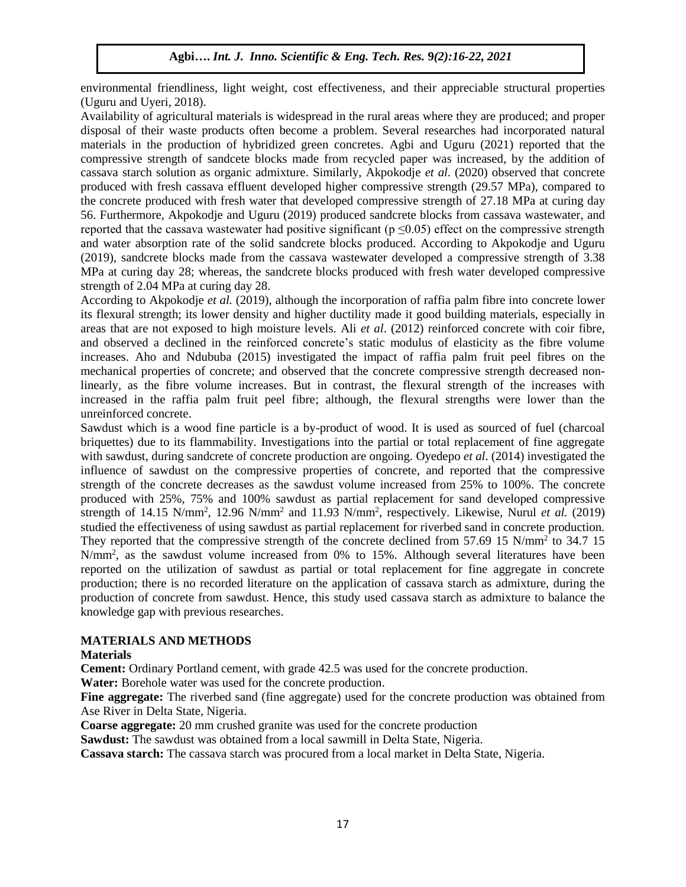environmental friendliness, light weight, cost effectiveness, and their appreciable structural properties (Uguru and Uyeri, 2018).

Availability of agricultural materials is widespread in the rural areas where they are produced; and proper disposal of their waste products often become a problem. Several researches had incorporated natural materials in the production of hybridized green concretes. Agbi and Uguru (2021) reported that the compressive strength of sandcete blocks made from recycled paper was increased, by the addition of cassava starch solution as organic admixture. Similarly, Akpokodje *et al*. (2020) observed that concrete produced with fresh cassava effluent developed higher compressive strength (29.57 MPa), compared to the concrete produced with fresh water that developed compressive strength of 27.18 MPa at curing day 56. Furthermore, Akpokodje and Uguru (2019) produced sandcrete blocks from cassava wastewater, and reported that the cassava wastewater had positive significant ( $p \le 0.05$ ) effect on the compressive strength and water absorption rate of the solid sandcrete blocks produced. According to Akpokodje and Uguru (2019), sandcrete blocks made from the cassava wastewater developed a compressive strength of 3.38 MPa at curing day 28; whereas, the sandcrete blocks produced with fresh water developed compressive strength of 2.04 MPa at curing day 28.

According to Akpokodje *et al.* (2019), although the incorporation of raffia palm fibre into concrete lower its flexural strength; its lower density and higher ductility made it good building materials, especially in areas that are not exposed to high moisture levels. Ali *et al*. (2012) reinforced concrete with coir fibre, and observed a declined in the reinforced concrete's static modulus of elasticity as the fibre volume increases. Aho and Ndububa (2015) investigated the impact of raffia palm fruit peel fibres on the mechanical properties of concrete; and observed that the concrete compressive strength decreased nonlinearly, as the fibre volume increases. But in contrast, the flexural strength of the increases with increased in the raffia palm fruit peel fibre; although, the flexural strengths were lower than the unreinforced concrete.

Sawdust which is a wood fine particle is a by-product of wood. It is used as sourced of fuel (charcoal briquettes) due to its flammability. Investigations into the partial or total replacement of fine aggregate with sawdust, during sandcrete of concrete production are ongoing. Oyedepo *et al*. (2014) investigated the influence of sawdust on the compressive properties of concrete, and reported that the compressive strength of the concrete decreases as the sawdust volume increased from 25% to 100%. The concrete produced with 25%, 75% and 100% sawdust as partial replacement for sand developed compressive strength of 14.15 N/mm<sup>2</sup>, 12.96 N/mm<sup>2</sup> and 11.93 N/mm<sup>2</sup>, respectively. Likewise, Nurul *et al.* (2019) studied the effectiveness of using sawdust as partial replacement for riverbed sand in concrete production. They reported that the compressive strength of the concrete declined from 57.69 15 N/mm<sup>2</sup> to 34.7 15 N/mm<sup>2</sup>, as the sawdust volume increased from 0% to 15%. Although several literatures have been reported on the utilization of sawdust as partial or total replacement for fine aggregate in concrete production; there is no recorded literature on the application of cassava starch as admixture, during the production of concrete from sawdust. Hence, this study used cassava starch as admixture to balance the knowledge gap with previous researches.

# **MATERIALS AND METHODS**

#### **Materials**

**Cement:** Ordinary Portland cement, with grade 42.5 was used for the concrete production.

**Water:** Borehole water was used for the concrete production.

**Fine aggregate:** The riverbed sand (fine aggregate) used for the concrete production was obtained from Ase River in Delta State, Nigeria.

**Coarse aggregate:** 20 mm crushed granite was used for the concrete production

**Sawdust:** The sawdust was obtained from a local sawmill in Delta State, Nigeria.

**Cassava starch:** The cassava starch was procured from a local market in Delta State, Nigeria.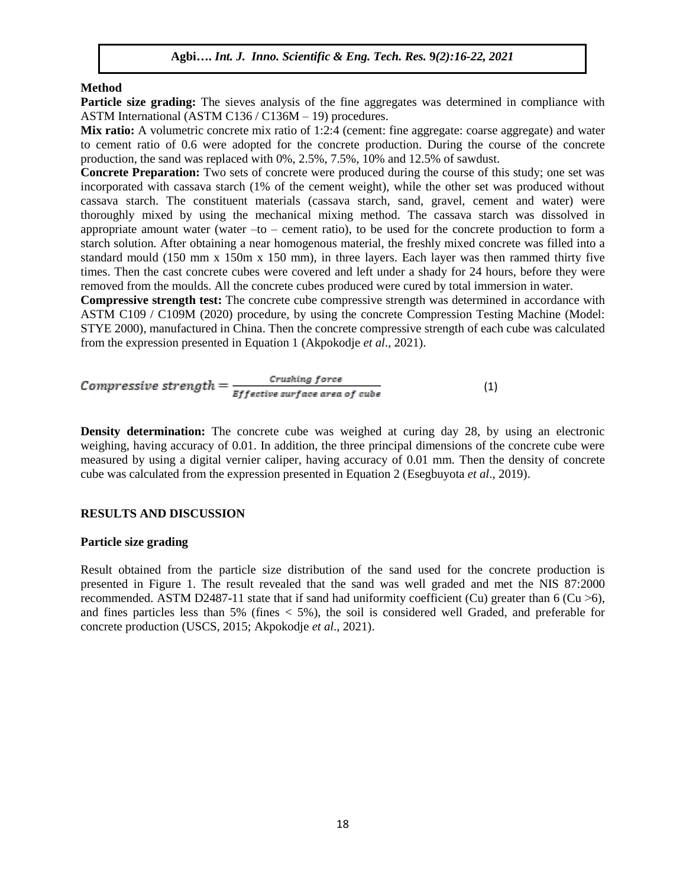#### **Method**

**Particle size grading:** The sieves analysis of the fine aggregates was determined in compliance with ASTM International (ASTM C136 / C136M – 19) procedures.

Mix ratio: A volumetric concrete mix ratio of 1:2:4 (cement: fine aggregate: coarse aggregate) and water to cement ratio of 0.6 were adopted for the concrete production. During the course of the concrete production, the sand was replaced with 0%, 2.5%, 7.5%, 10% and 12.5% of sawdust.

**Concrete Preparation:** Two sets of concrete were produced during the course of this study; one set was incorporated with cassava starch (1% of the cement weight), while the other set was produced without cassava starch. The constituent materials (cassava starch, sand, gravel, cement and water) were thoroughly mixed by using the mechanical mixing method. The cassava starch was dissolved in appropriate amount water (water  $-t_0$  – cement ratio), to be used for the concrete production to form a starch solution. After obtaining a near homogenous material, the freshly mixed concrete was filled into a standard mould (150 mm x 150m x 150 mm), in three layers. Each layer was then rammed thirty five times. Then the cast concrete cubes were covered and left under a shady for 24 hours, before they were removed from the moulds. All the concrete cubes produced were cured by total immersion in water.

**Compressive strength test:** The concrete cube compressive strength was determined in accordance with ASTM C109 / C109M (2020) procedure, by using the concrete Compression Testing Machine (Model: STYE 2000), manufactured in China. Then the concrete compressive strength of each cube was calculated from the expression presented in Equation 1 (Akpokodje *et al*., 2021).

*Compressive strength* = 
$$
\frac{C_{\text{rushing force}}}{E_{\text{ffective surface area of cube}}}
$$
(1)

**Density determination:** The concrete cube was weighed at curing day 28, by using an electronic weighing, having accuracy of 0.01. In addition, the three principal dimensions of the concrete cube were measured by using a digital vernier caliper, having accuracy of 0.01 mm. Then the density of concrete cube was calculated from the expression presented in Equation 2 (Esegbuyota *et al*., 2019).

## **RESULTS AND DISCUSSION**

#### **Particle size grading**

Result obtained from the particle size distribution of the sand used for the concrete production is presented in Figure 1. The result revealed that the sand was well graded and met the NIS 87:2000 recommended. ASTM D2487-11 state that if sand had uniformity coefficient (Cu) greater than 6 (Cu  $>$ 6), and fines particles less than 5% (fines  $<$  5%), the soil is considered well Graded, and preferable for concrete production (USCS, 2015; Akpokodje *et al*., 2021).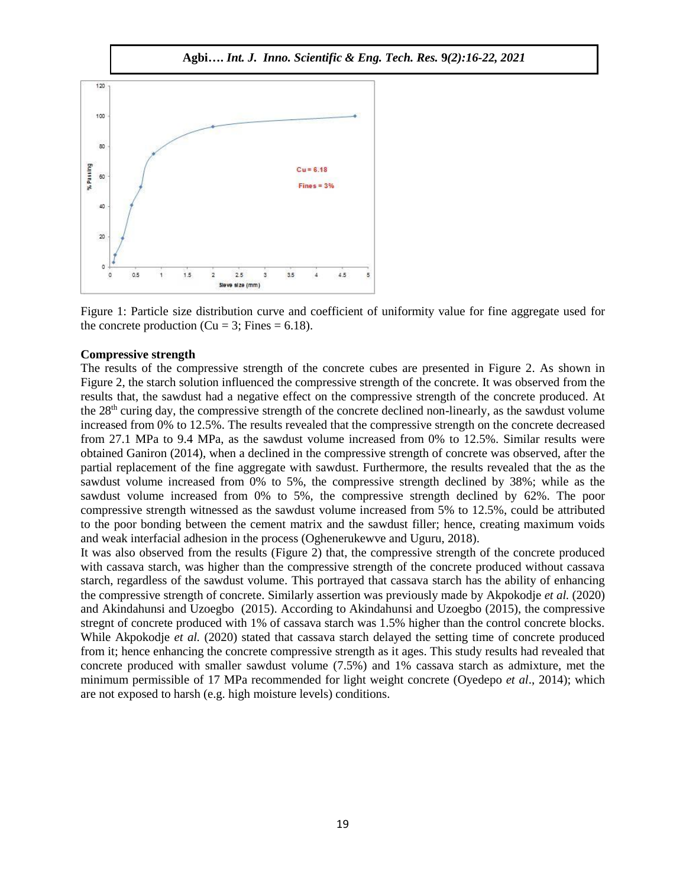

Figure 1: Particle size distribution curve and coefficient of uniformity value for fine aggregate used for the concrete production ( $Cu = 3$ ; Fines = 6.18).

#### **Compressive strength**

The results of the compressive strength of the concrete cubes are presented in Figure 2. As shown in Figure 2, the starch solution influenced the compressive strength of the concrete. It was observed from the results that, the sawdust had a negative effect on the compressive strength of the concrete produced. At the  $28<sup>th</sup>$  curing day, the compressive strength of the concrete declined non-linearly, as the sawdust volume increased from 0% to 12.5%. The results revealed that the compressive strength on the concrete decreased from 27.1 MPa to 9.4 MPa, as the sawdust volume increased from 0% to 12.5%. Similar results were obtained Ganiron (2014), when a declined in the compressive strength of concrete was observed, after the partial replacement of the fine aggregate with sawdust. Furthermore, the results revealed that the as the sawdust volume increased from 0% to 5%, the compressive strength declined by 38%; while as the sawdust volume increased from 0% to 5%, the compressive strength declined by 62%. The poor compressive strength witnessed as the sawdust volume increased from 5% to 12.5%, could be attributed to the poor bonding between the cement matrix and the sawdust filler; hence, creating maximum voids and weak interfacial adhesion in the process (Oghenerukewve and Uguru, 2018).

It was also observed from the results (Figure 2) that, the compressive strength of the concrete produced with cassava starch, was higher than the compressive strength of the concrete produced without cassava starch, regardless of the sawdust volume. This portrayed that cassava starch has the ability of enhancing the compressive strength of concrete. Similarly assertion was previously made by Akpokodje *et al.* (2020) and Akindahunsi and Uzoegbo (2015). According to Akindahunsi and Uzoegbo (2015), the compressive stregnt of concrete produced with 1% of cassava starch was 1.5% higher than the control concrete blocks. While Akpokodje *et al.* (2020) stated that cassava starch delayed the setting time of concrete produced from it; hence enhancing the concrete compressive strength as it ages. This study results had revealed that concrete produced with smaller sawdust volume (7.5%) and 1% cassava starch as admixture, met the minimum permissible of 17 MPa recommended for light weight concrete (Oyedepo *et al*., 2014); which are not exposed to harsh (e.g. high moisture levels) conditions.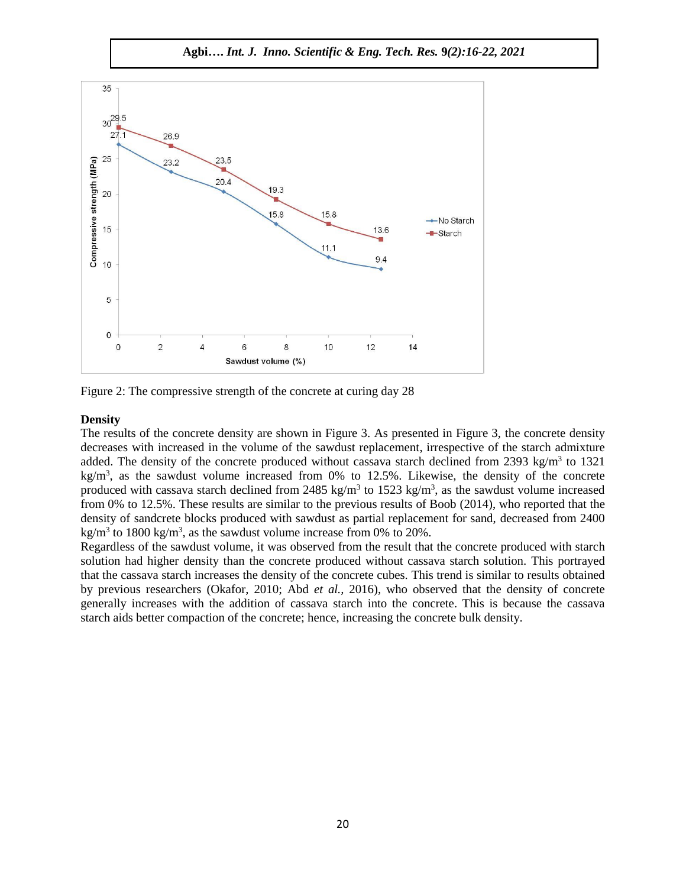



Figure 2: The compressive strength of the concrete at curing day 28

#### **Density**

The results of the concrete density are shown in Figure 3. As presented in Figure 3, the concrete density decreases with increased in the volume of the sawdust replacement, irrespective of the starch admixture added. The density of the concrete produced without cassava starch declined from 2393 kg/m<sup>3</sup> to 1321 kg/m<sup>3</sup>, as the sawdust volume increased from 0% to 12.5%. Likewise, the density of the concrete produced with cassava starch declined from 2485 kg/m<sup>3</sup> to 1523 kg/m<sup>3</sup>, as the sawdust volume increased from 0% to 12.5%. These results are similar to the previous results of Boob (2014), who reported that the density of sandcrete blocks produced with sawdust as partial replacement for sand, decreased from 2400 kg/m<sup>3</sup> to 1800 kg/m<sup>3</sup>, as the sawdust volume increase from 0% to 20%.

Regardless of the sawdust volume, it was observed from the result that the concrete produced with starch solution had higher density than the concrete produced without cassava starch solution. This portrayed that the cassava starch increases the density of the concrete cubes. This trend is similar to results obtained by previous researchers (Okafor, 2010; Abd *et al.,* 2016), who observed that the density of concrete generally increases with the addition of cassava starch into the concrete. This is because the cassava starch aids better compaction of the concrete; hence, increasing the concrete bulk density.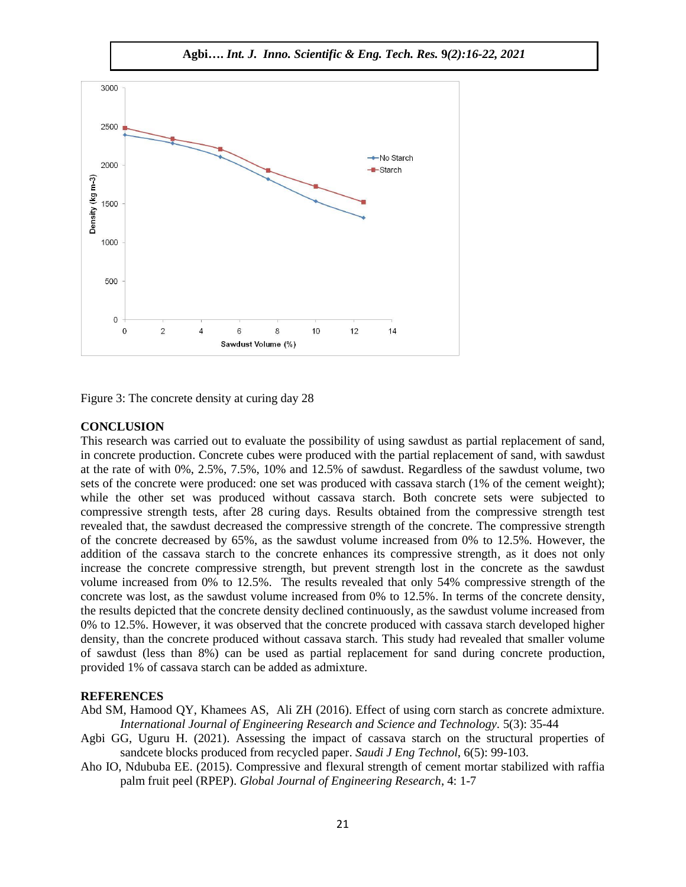

Figure 3: The concrete density at curing day 28

#### **CONCLUSION**

This research was carried out to evaluate the possibility of using sawdust as partial replacement of sand, in concrete production. Concrete cubes were produced with the partial replacement of sand, with sawdust at the rate of with 0%, 2.5%, 7.5%, 10% and 12.5% of sawdust. Regardless of the sawdust volume, two sets of the concrete were produced: one set was produced with cassava starch (1% of the cement weight); while the other set was produced without cassava starch. Both concrete sets were subjected to compressive strength tests, after 28 curing days. Results obtained from the compressive strength test revealed that, the sawdust decreased the compressive strength of the concrete. The compressive strength of the concrete decreased by 65%, as the sawdust volume increased from 0% to 12.5%. However, the addition of the cassava starch to the concrete enhances its compressive strength, as it does not only increase the concrete compressive strength, but prevent strength lost in the concrete as the sawdust volume increased from 0% to 12.5%. The results revealed that only 54% compressive strength of the concrete was lost, as the sawdust volume increased from 0% to 12.5%. In terms of the concrete density, the results depicted that the concrete density declined continuously, as the sawdust volume increased from 0% to 12.5%. However, it was observed that the concrete produced with cassava starch developed higher density, than the concrete produced without cassava starch. This study had revealed that smaller volume of sawdust (less than 8%) can be used as partial replacement for sand during concrete production, provided 1% of cassava starch can be added as admixture.

## **REFERENCES**

Abd SM, Hamood QY, Khamees AS, Ali ZH (2016). Effect of using corn starch as concrete admixture. *International Journal of Engineering Research and Science and Technology.* 5(3): 35-44

- Agbi GG, Uguru H. (2021). Assessing the impact of cassava starch on the structural properties of sandcete blocks produced from recycled paper. *Saudi J Eng Technol*, 6(5): 99-103.
- Aho IO, Ndububa EE. (2015). Compressive and flexural strength of cement mortar stabilized with raffia palm fruit peel (RPEP). *Global Journal of Engineering Research*, 4: 1-7